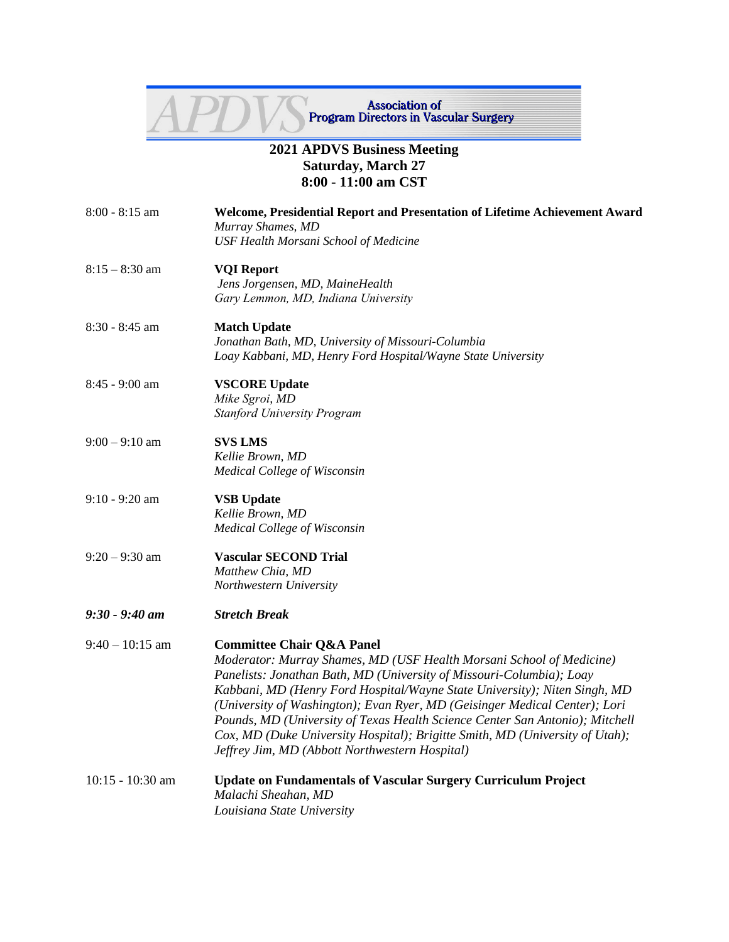

## **2021 APDVS Business Meeting Saturday, March 27 8:00 - 11:00 am CST**

- 8:00 8:15 am **Welcome, Presidential Report and Presentation of Lifetime Achievement Award** *Murray Shames, MD USF Health Morsani School of Medicine*
- 8:15 8:30 am **VQI Report**  *Jens Jorgensen, MD, MaineHealth Gary Lemmon, MD, Indiana University*
- 8:30 8:45 am **Match Update** *Jonathan Bath, MD, University of Missouri-Columbia Loay Kabbani, MD, Henry Ford Hospital/Wayne State University*
- 8:45 9:00 am **VSCORE Update**
	- *Mike Sgroi, MD Stanford University Program*
- 9:00 9:10 am **SVS LMS** *Kellie Brown, MD Medical College of Wisconsin*
- 9:10 9:20 am **VSB Update** *Kellie Brown, MD Medical College of Wisconsin*
- 9:20 9:30 am **Vascular SECOND Trial**  *Matthew Chia, MD Northwestern University*
- *9:30 - 9:40 am Stretch Break*
- 9:40 10:15 am **Committee Chair Q&A Panel** *Moderator: Murray Shames, MD (USF Health Morsani School of Medicine) Panelists: Jonathan Bath, MD (University of Missouri-Columbia); Loay Kabbani, MD (Henry Ford Hospital/Wayne State University); Niten Singh, MD (University of Washington); Evan Ryer, MD (Geisinger Medical Center); Lori Pounds, MD (University of Texas Health Science Center San Antonio); Mitchell Cox, MD (Duke University Hospital); Brigitte Smith, MD (University of Utah); Jeffrey Jim, MD (Abbott Northwestern Hospital)*
- 10:15 10:30 am **Update on Fundamentals of Vascular Surgery Curriculum Project**  *Malachi Sheahan, MD Louisiana State University*